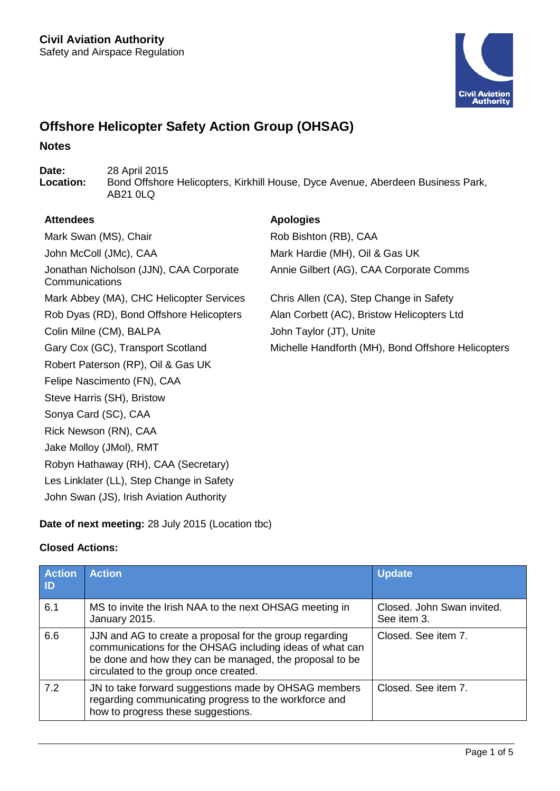

# **Offshore Helicopter Safety Action Group (OHSAG)**

### **Notes**

**Date:** 28 April 2015<br> **Location:** Bond Offshore **Location:** Bond Offshore Helicopters, Kirkhill House, Dyce Avenue, Aberdeen Business Park, AB21 0LQ

### **Attendees Apologies**

Mark Swan (MS), Chair **Rob Bishton (RB)**, CAA John McColl (JMc), CAA Mark Hardie (MH), Oil & Gas UK Jonathan Nicholson (JJN), CAA Corporate **Communications** Mark Abbey (MA), CHC Helicopter Services Chris Allen (CA), Step Change in Safety Rob Dyas (RD), Bond Offshore Helicopters Alan Corbett (AC), Bristow Helicopters Ltd Colin Milne (CM), BALPA John Taylor (JT), Unite Robert Paterson (RP), Oil & Gas UK Felipe Nascimento (FN), CAA Steve Harris (SH), Bristow Sonya Card (SC), CAA Rick Newson (RN), CAA Jake Molloy (JMol), RMT Robyn Hathaway (RH), CAA (Secretary) Les Linklater (LL), Step Change in Safety John Swan (JS), Irish Aviation Authority

Annie Gilbert (AG), CAA Corporate Comms

Gary Cox (GC), Transport Scotland Michelle Handforth (MH), Bond Offshore Helicopters

## **Date of next meeting:** 28 July 2015 (Location tbc)

### **Closed Actions:**

| <b>Action</b><br>$\mathsf{ID}$ | <b>Action</b>                                                                                                                                                                                                           | <b>Update</b>                             |
|--------------------------------|-------------------------------------------------------------------------------------------------------------------------------------------------------------------------------------------------------------------------|-------------------------------------------|
| 6.1                            | MS to invite the Irish NAA to the next OHSAG meeting in<br>January 2015.                                                                                                                                                | Closed. John Swan invited.<br>See item 3. |
| 6.6                            | JJN and AG to create a proposal for the group regarding<br>communications for the OHSAG including ideas of what can<br>be done and how they can be managed, the proposal to be<br>circulated to the group once created. | Closed. See item 7.                       |
| 7.2                            | JN to take forward suggestions made by OHSAG members<br>regarding communicating progress to the workforce and<br>how to progress these suggestions.                                                                     | Closed. See item 7.                       |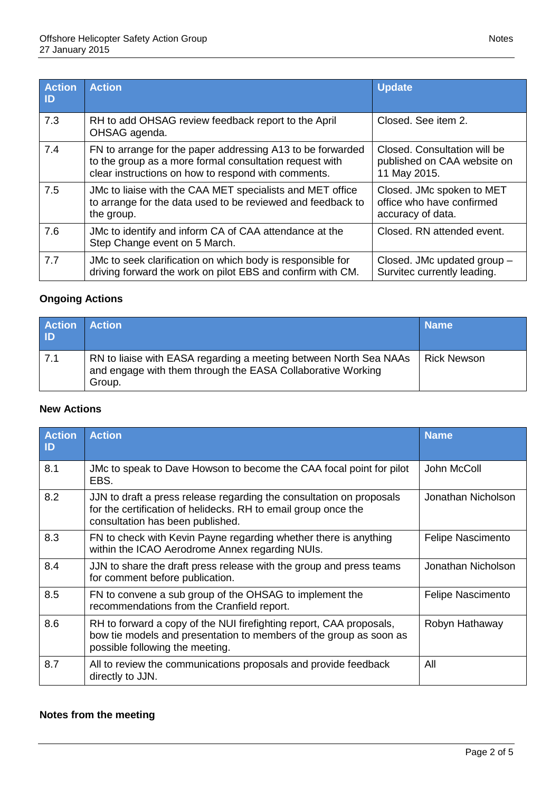| <b>Action</b><br>$\blacksquare$ | <b>Action</b>                                                                                                                                                                | <b>Update</b>                                                               |
|---------------------------------|------------------------------------------------------------------------------------------------------------------------------------------------------------------------------|-----------------------------------------------------------------------------|
| 7.3                             | RH to add OHSAG review feedback report to the April<br>OHSAG agenda.                                                                                                         | Closed. See item 2.                                                         |
| 7.4                             | FN to arrange for the paper addressing A13 to be forwarded<br>to the group as a more formal consultation request with<br>clear instructions on how to respond with comments. | Closed. Consultation will be<br>published on CAA website on<br>11 May 2015. |
| 7.5                             | JMc to liaise with the CAA MET specialists and MET office<br>to arrange for the data used to be reviewed and feedback to<br>the group.                                       | Closed. JMc spoken to MET<br>office who have confirmed<br>accuracy of data. |
| 7.6                             | JMc to identify and inform CA of CAA attendance at the<br>Step Change event on 5 March.                                                                                      | Closed. RN attended event.                                                  |
| 7.7                             | JMc to seek clarification on which body is responsible for<br>driving forward the work on pilot EBS and confirm with CM.                                                     | Closed. JMc updated group -<br>Survitec currently leading.                  |

## **Ongoing Actions**

| <b>Action Action</b><br><b>ID</b> |                                                                                                                                            | <b>Name</b>        |
|-----------------------------------|--------------------------------------------------------------------------------------------------------------------------------------------|--------------------|
| $-7.1$                            | RN to liaise with EASA regarding a meeting between North Sea NAAs<br>and engage with them through the EASA Collaborative Working<br>Group. | <b>Rick Newson</b> |

## **New Actions**

| <b>Action</b><br>ID | <b>Action</b>                                                                                                                                                                | <b>Name</b>              |
|---------------------|------------------------------------------------------------------------------------------------------------------------------------------------------------------------------|--------------------------|
| 8.1                 | JMc to speak to Dave Howson to become the CAA focal point for pilot<br>EBS.                                                                                                  | John McColl              |
| 8.2                 | JJN to draft a press release regarding the consultation on proposals<br>for the certification of helidecks. RH to email group once the<br>consultation has been published.   | Jonathan Nicholson       |
| 8.3                 | FN to check with Kevin Payne regarding whether there is anything<br>within the ICAO Aerodrome Annex regarding NUIs.                                                          | <b>Felipe Nascimento</b> |
| 8.4                 | JJN to share the draft press release with the group and press teams<br>for comment before publication.                                                                       | Jonathan Nicholson       |
| 8.5                 | FN to convene a sub group of the OHSAG to implement the<br>recommendations from the Cranfield report.                                                                        | <b>Felipe Nascimento</b> |
| 8.6                 | RH to forward a copy of the NUI firefighting report, CAA proposals,<br>bow tie models and presentation to members of the group as soon as<br>possible following the meeting. | Robyn Hathaway           |
| 8.7                 | All to review the communications proposals and provide feedback<br>directly to JJN.                                                                                          | All                      |

## **Notes from the meeting**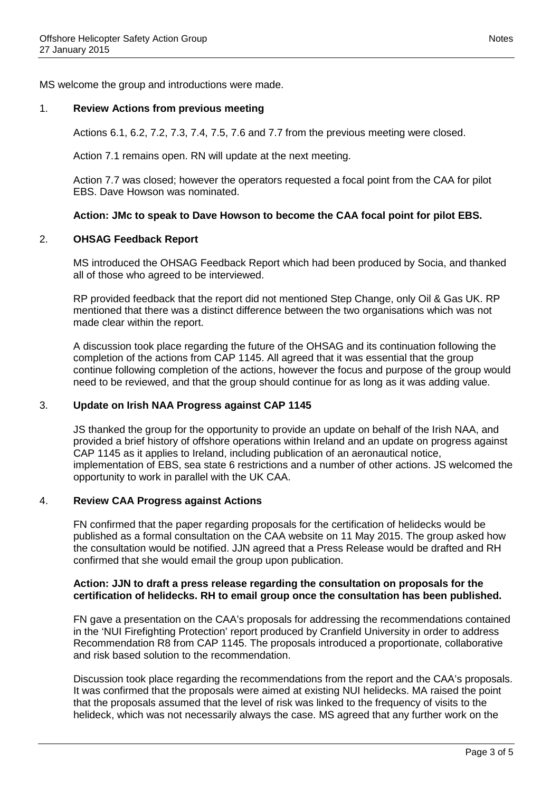MS welcome the group and introductions were made.

#### 1. **Review Actions from previous meeting**

Actions 6.1, 6.2, 7.2, 7.3, 7.4, 7.5, 7.6 and 7.7 from the previous meeting were closed.

Action 7.1 remains open. RN will update at the next meeting.

Action 7.7 was closed; however the operators requested a focal point from the CAA for pilot EBS. Dave Howson was nominated.

#### **Action: JMc to speak to Dave Howson to become the CAA focal point for pilot EBS.**

#### 2. **OHSAG Feedback Report**

MS introduced the OHSAG Feedback Report which had been produced by Socia, and thanked all of those who agreed to be interviewed.

RP provided feedback that the report did not mentioned Step Change, only Oil & Gas UK. RP mentioned that there was a distinct difference between the two organisations which was not made clear within the report.

A discussion took place regarding the future of the OHSAG and its continuation following the completion of the actions from CAP 1145. All agreed that it was essential that the group continue following completion of the actions, however the focus and purpose of the group would need to be reviewed, and that the group should continue for as long as it was adding value.

### 3. **Update on Irish NAA Progress against CAP 1145**

JS thanked the group for the opportunity to provide an update on behalf of the Irish NAA, and provided a brief history of offshore operations within Ireland and an update on progress against CAP 1145 as it applies to Ireland, including publication of an aeronautical notice, implementation of EBS, sea state 6 restrictions and a number of other actions. JS welcomed the opportunity to work in parallel with the UK CAA.

#### 4. **Review CAA Progress against Actions**

FN confirmed that the paper regarding proposals for the certification of helidecks would be published as a formal consultation on the CAA website on 11 May 2015. The group asked how the consultation would be notified. JJN agreed that a Press Release would be drafted and RH confirmed that she would email the group upon publication.

#### **Action: JJN to draft a press release regarding the consultation on proposals for the certification of helidecks. RH to email group once the consultation has been published.**

FN gave a presentation on the CAA's proposals for addressing the recommendations contained in the 'NUI Firefighting Protection' report produced by Cranfield University in order to address Recommendation R8 from CAP 1145. The proposals introduced a proportionate, collaborative and risk based solution to the recommendation.

Discussion took place regarding the recommendations from the report and the CAA's proposals. It was confirmed that the proposals were aimed at existing NUI helidecks. MA raised the point that the proposals assumed that the level of risk was linked to the frequency of visits to the helideck, which was not necessarily always the case. MS agreed that any further work on the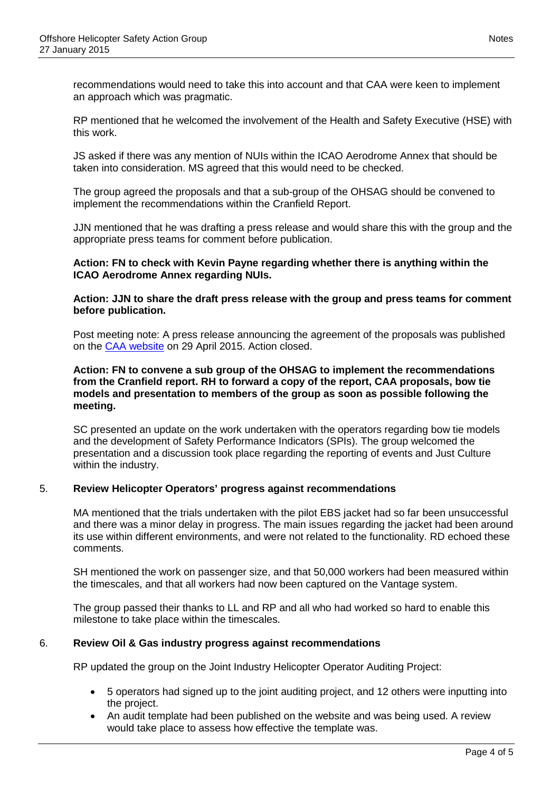recommendations would need to take this into account and that CAA were keen to implement an approach which was pragmatic.

RP mentioned that he welcomed the involvement of the Health and Safety Executive (HSE) with this work.

JS asked if there was any mention of NUIs within the ICAO Aerodrome Annex that should be taken into consideration. MS agreed that this would need to be checked.

The group agreed the proposals and that a sub-group of the OHSAG should be convened to implement the recommendations within the Cranfield Report.

JJN mentioned that he was drafting a press release and would share this with the group and the appropriate press teams for comment before publication.

#### **Action: FN to check with Kevin Payne regarding whether there is anything within the ICAO Aerodrome Annex regarding NUIs.**

**Action: JJN to share the draft press release with the group and press teams for comment before publication.**

Post meeting note: A press release announcing the agreement of the proposals was published on the [CAA website](http://www.caa.co.uk/application.aspx?catid=14&pagetype=65&appid=7&mode=detail&nid=2450) on 29 April 2015. Action closed.

#### **Action: FN to convene a sub group of the OHSAG to implement the recommendations from the Cranfield report. RH to forward a copy of the report, CAA proposals, bow tie models and presentation to members of the group as soon as possible following the meeting.**

SC presented an update on the work undertaken with the operators regarding bow tie models and the development of Safety Performance Indicators (SPIs). The group welcomed the presentation and a discussion took place regarding the reporting of events and Just Culture within the industry.

### 5. **Review Helicopter Operators' progress against recommendations**

MA mentioned that the trials undertaken with the pilot EBS jacket had so far been unsuccessful and there was a minor delay in progress. The main issues regarding the jacket had been around its use within different environments, and were not related to the functionality. RD echoed these comments.

SH mentioned the work on passenger size, and that 50,000 workers had been measured within the timescales, and that all workers had now been captured on the Vantage system.

The group passed their thanks to LL and RP and all who had worked so hard to enable this milestone to take place within the timescales.

### 6. **Review Oil & Gas industry progress against recommendations**

RP updated the group on the Joint Industry Helicopter Operator Auditing Project:

- 5 operators had signed up to the joint auditing project, and 12 others were inputting into the project.
- An audit template had been published on the website and was being used. A review would take place to assess how effective the template was.